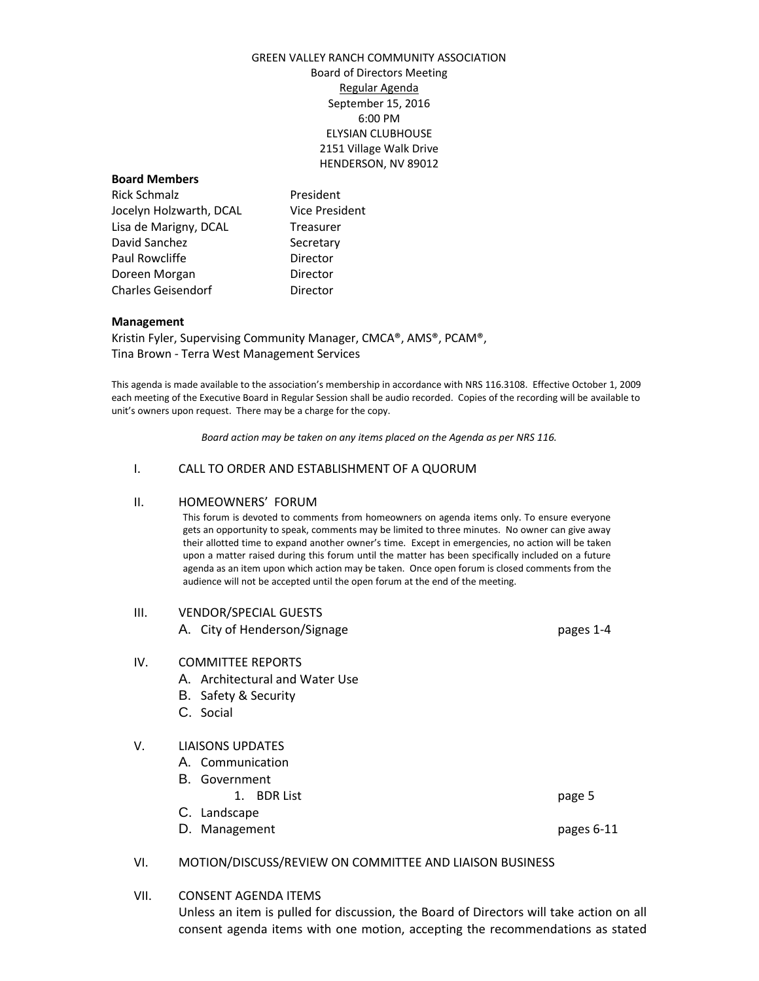# GREEN VALLEY RANCH COMMUNITY ASSOCIATION Board of Directors Meeting Regular Agenda September 15, 2016 6:00 PM ELYSIAN CLUBHOUSE 2151 Village Walk Drive HENDERSON, NV 89012

### **Board Members**

Rick Schmalz **President** Jocelyn Holzwarth, DCAL Vice President Lisa de Marigny, DCAL Treasurer David Sanchez Secretary Paul Rowcliffe **Director** Doreen Morgan **Director** Charles Geisendorf **Director** 

### **Management**

Kristin Fyler, Supervising Community Manager, CMCA®, AMS®, PCAM®, Tina Brown - Terra West Management Services

This agenda is made available to the association's membership in accordance with NRS 116.3108. Effective October 1, 2009 each meeting of the Executive Board in Regular Session shall be audio recorded. Copies of the recording will be available to unit's owners upon request. There may be a charge for the copy.

*Board action may be taken on any items placed on the Agenda as per NRS 116.*

# I. CALL TO ORDER AND ESTABLISHMENT OF A QUORUM

#### II. HOMEOWNERS' FORUM

This forum is devoted to comments from homeowners on agenda items only. To ensure everyone gets an opportunity to speak, comments may be limited to three minutes. No owner can give away their allotted time to expand another owner's time. Except in emergencies, no action will be taken upon a matter raised during this forum until the matter has been specifically included on a future agenda as an item upon which action may be taken. Once open forum is closed comments from the audience will not be accepted until the open forum at the end of the meeting.

#### III. VENDOR/SPECIAL GUESTS

A. City of Henderson/Signage pages 1-4

#### IV. COMMITTEE REPORTS

- A. Architectural and Water Use
- B. Safety & Security
- C. Social

### V. LIAISONS UPDATES

- A. Communication
- B. Government
	- 1. BDR List page 5
- C. Landscape
- D. Management **pages 6-11**

#### VI. MOTION/DISCUSS/REVIEW ON COMMITTEE AND LIAISON BUSINESS

VII. CONSENT AGENDA ITEMS

Unless an item is pulled for discussion, the Board of Directors will take action on all consent agenda items with one motion, accepting the recommendations as stated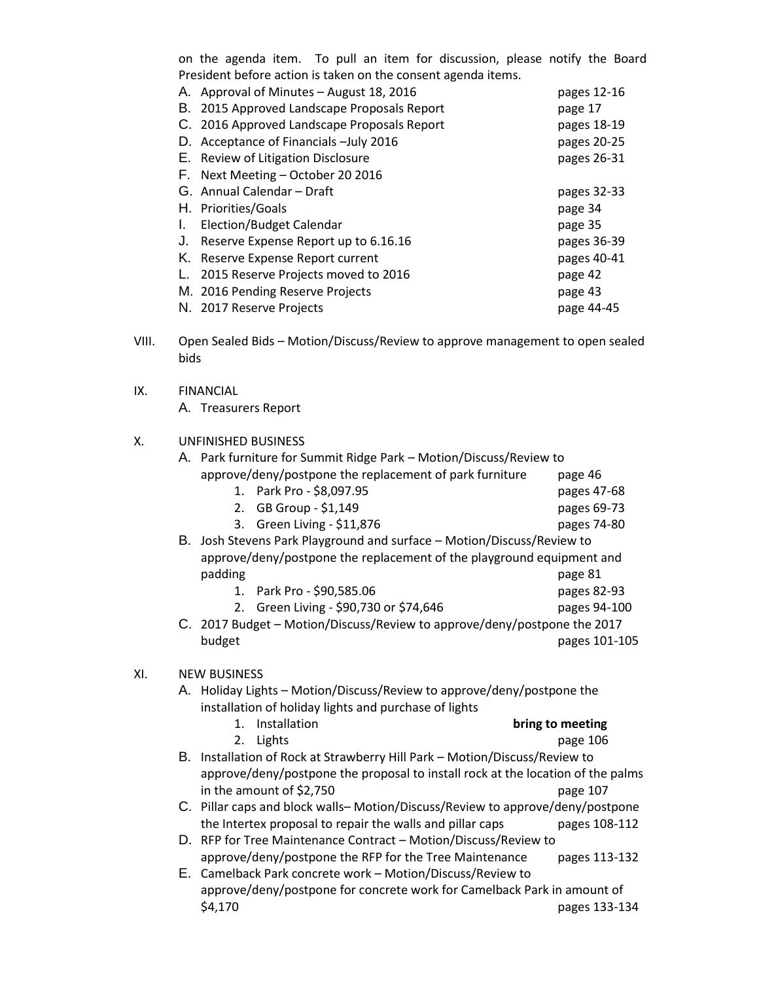on the agenda item. To pull an item for discussion, please notify the Board President before action is taken on the consent agenda items.

| А. | Approval of Minutes - August 18, 2016       | pages 12-16 |
|----|---------------------------------------------|-------------|
| В. | 2015 Approved Landscape Proposals Report    | page 17     |
|    | C. 2016 Approved Landscape Proposals Report | pages 18-19 |
|    | D. Acceptance of Financials - July 2016     | pages 20-25 |
|    | E. Review of Litigation Disclosure          | pages 26-31 |
|    | F. Next Meeting - October 20 2016           |             |
|    | G. Annual Calendar – Draft                  | pages 32-33 |
|    | H. Priorities/Goals                         | page 34     |
| L. | Election/Budget Calendar                    | page 35     |
| J. | Reserve Expense Report up to 6.16.16        | pages 36-39 |
| Κ. | Reserve Expense Report current              | pages 40-41 |
| L. | 2015 Reserve Projects moved to 2016         | page 42     |
|    | M. 2016 Pending Reserve Projects            | page 43     |
|    | N. 2017 Reserve Projects                    | page 44-45  |

- VIII. Open Sealed Bids Motion/Discuss/Review to approve management to open sealed bids
- IX. FINANCIAL

A. Treasurers Report

# X. UNFINISHED BUSINESS

|     |                     | A. Park furniture for Summit Ridge Park - Motion/Discuss/Review to              |                  |  |  |
|-----|---------------------|---------------------------------------------------------------------------------|------------------|--|--|
|     |                     | approve/deny/postpone the replacement of park furniture                         | page 46          |  |  |
|     |                     | Park Pro - \$8,097.95<br>1.                                                     | pages 47-68      |  |  |
|     |                     | GB Group - \$1,149<br>2.                                                        | pages 69-73      |  |  |
|     |                     | Green Living - \$11,876<br>3.                                                   | pages 74-80      |  |  |
|     |                     | B. Josh Stevens Park Playground and surface - Motion/Discuss/Review to          |                  |  |  |
|     |                     | approve/deny/postpone the replacement of the playground equipment and           |                  |  |  |
|     |                     | padding                                                                         | page 81          |  |  |
|     |                     | Park Pro - \$90,585.06<br>1.                                                    | pages 82-93      |  |  |
|     |                     | 2. Green Living - \$90,730 or \$74,646                                          | pages 94-100     |  |  |
|     |                     | C. 2017 Budget - Motion/Discuss/Review to approve/deny/postpone the 2017        |                  |  |  |
|     |                     | budget                                                                          | pages 101-105    |  |  |
|     |                     |                                                                                 |                  |  |  |
| XI. | <b>NEW BUSINESS</b> |                                                                                 |                  |  |  |
|     |                     | A. Holiday Lights - Motion/Discuss/Review to approve/deny/postpone the          |                  |  |  |
|     |                     | installation of holiday lights and purchase of lights                           |                  |  |  |
|     |                     | Installation<br>$\mathbf{1}$ .                                                  | bring to meeting |  |  |
|     |                     | Lights<br>2.                                                                    | page 106         |  |  |
|     |                     | B. Installation of Rock at Strawberry Hill Park - Motion/Discuss/Review to      |                  |  |  |
|     |                     | approve/deny/postpone the proposal to install rock at the location of the palms |                  |  |  |
|     |                     | in the amount of \$2,750                                                        | page 107         |  |  |
|     |                     | C. Pillar caps and block walls-Motion/Discuss/Review to approve/deny/postpone   |                  |  |  |
|     |                     | the Intertex proposal to repair the walls and pillar caps                       | pages 108-112    |  |  |
|     |                     | D. RFP for Tree Maintenance Contract - Motion/Discuss/Review to                 |                  |  |  |
|     |                     | approve/deny/postpone the RFP for the Tree Maintenance                          | pages 113-132    |  |  |
|     |                     | E. Camelback Park concrete work - Motion/Discuss/Review to                      |                  |  |  |
|     |                     | approve/deny/postpone for concrete work for Camelback Park in amount of         |                  |  |  |
|     |                     | \$4,170                                                                         | pages 133-134    |  |  |